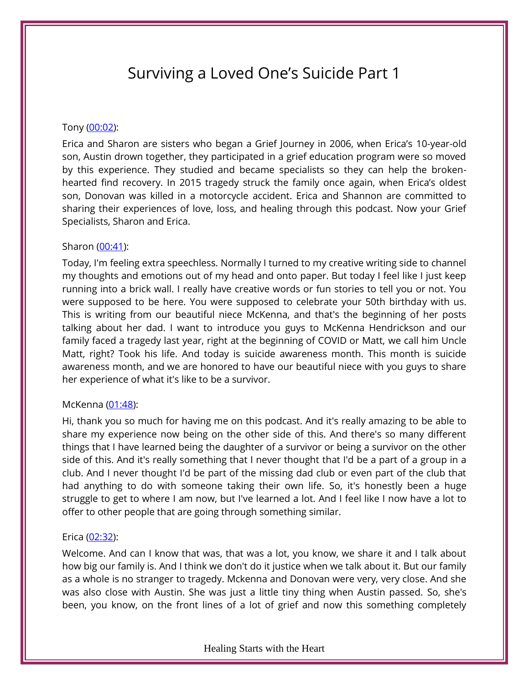# Surviving a Loved One's Suicide Part 1

## Tony [\(00:02\)](https://www.temi.com/editor/t/wKPJwAl82cy1VwXM03CG4Bw1Ce61dAdok2G9zVC4Y10UtlmmAMhrPWliWo0XY3d7B6-X2p50zGig-G_ru3gLnPBOuBw?loadFrom=DocumentDeeplink&ts=2.92):

Erica and Sharon are sisters who began a Grief Journey in 2006, when Erica's 10-year-old son, Austin drown together, they participated in a grief education program were so moved by this experience. They studied and became specialists so they can help the brokenhearted find recovery. In 2015 tragedy struck the family once again, when Erica's oldest son, Donovan was killed in a motorcycle accident. Erica and Shannon are committed to sharing their experiences of love, loss, and healing through this podcast. Now your Grief Specialists, Sharon and Erica.

## Sharon [\(00:41\)](https://www.temi.com/editor/t/BgIppXemWaGmYp8DkFrz2SYpc0OP3hgTmG96sZnWDr8rCP4c5XGyH0j5dT2VSK2rxh2NIQY5INUNa7O4vEVYtC1BSow?loadFrom=DocumentDeeplink&ts=41.09):

Today, I'm feeling extra speechless. Normally I turned to my creative writing side to channel my thoughts and emotions out of my head and onto paper. But today I feel like I just keep running into a brick wall. I really have creative words or fun stories to tell you or not. You were supposed to be here. You were supposed to celebrate your 50th birthday with us. This is writing from our beautiful niece McKenna, and that's the beginning of her posts talking about her dad. I want to introduce you guys to McKenna Hendrickson and our family faced a tragedy last year, right at the beginning of COVID or Matt, we call him Uncle Matt, right? Took his life. And today is suicide awareness month. This month is suicide awareness month, and we are honored to have our beautiful niece with you guys to share her experience of what it's like to be a survivor.

# McKenna [\(01:48\)](https://www.temi.com/editor/t/BgIppXemWaGmYp8DkFrz2SYpc0OP3hgTmG96sZnWDr8rCP4c5XGyH0j5dT2VSK2rxh2NIQY5INUNa7O4vEVYtC1BSow?loadFrom=DocumentDeeplink&ts=108.03):

Hi, thank you so much for having me on this podcast. And it's really amazing to be able to share my experience now being on the other side of this. And there's so many different things that I have learned being the daughter of a survivor or being a survivor on the other side of this. And it's really something that I never thought that I'd be a part of a group in a club. And I never thought I'd be part of the missing dad club or even part of the club that had anything to do with someone taking their own life. So, it's honestly been a huge struggle to get to where I am now, but I've learned a lot. And I feel like I now have a lot to offer to other people that are going through something similar.

# Erica [\(02:32\)](https://www.temi.com/editor/t/BgIppXemWaGmYp8DkFrz2SYpc0OP3hgTmG96sZnWDr8rCP4c5XGyH0j5dT2VSK2rxh2NIQY5INUNa7O4vEVYtC1BSow?loadFrom=DocumentDeeplink&ts=152.51):

Welcome. And can I know that was, that was a lot, you know, we share it and I talk about how big our family is. And I think we don't do it justice when we talk about it. But our family as a whole is no stranger to tragedy. Mckenna and Donovan were very, very close. And she was also close with Austin. She was just a little tiny thing when Austin passed. So, she's been, you know, on the front lines of a lot of grief and now this something completely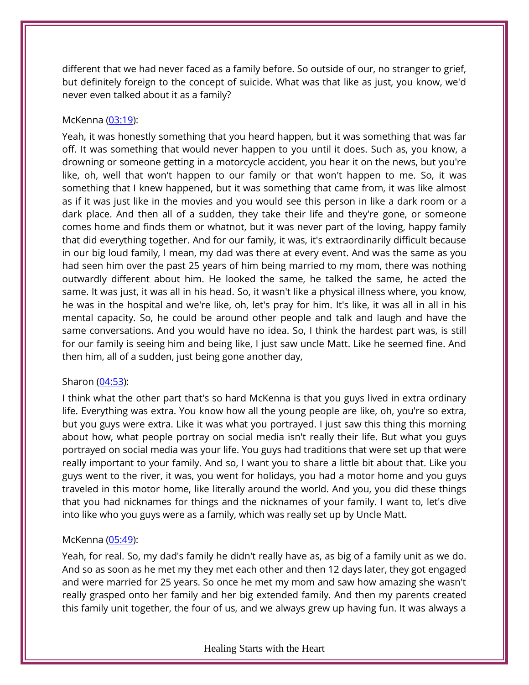different that we had never faced as a family before. So outside of our, no stranger to grief, but definitely foreign to the concept of suicide. What was that like as just, you know, we'd never even talked about it as a family?

# McKenna [\(03:19\)](https://www.temi.com/editor/t/BgIppXemWaGmYp8DkFrz2SYpc0OP3hgTmG96sZnWDr8rCP4c5XGyH0j5dT2VSK2rxh2NIQY5INUNa7O4vEVYtC1BSow?loadFrom=DocumentDeeplink&ts=199.33):

Yeah, it was honestly something that you heard happen, but it was something that was far off. It was something that would never happen to you until it does. Such as, you know, a drowning or someone getting in a motorcycle accident, you hear it on the news, but you're like, oh, well that won't happen to our family or that won't happen to me. So, it was something that I knew happened, but it was something that came from, it was like almost as if it was just like in the movies and you would see this person in like a dark room or a dark place. And then all of a sudden, they take their life and they're gone, or someone comes home and finds them or whatnot, but it was never part of the loving, happy family that did everything together. And for our family, it was, it's extraordinarily difficult because in our big loud family, I mean, my dad was there at every event. And was the same as you had seen him over the past 25 years of him being married to my mom, there was nothing outwardly different about him. He looked the same, he talked the same, he acted the same. It was just, it was all in his head. So, it wasn't like a physical illness where, you know, he was in the hospital and we're like, oh, let's pray for him. It's like, it was all in all in his mental capacity. So, he could be around other people and talk and laugh and have the same conversations. And you would have no idea. So, I think the hardest part was, is still for our family is seeing him and being like, I just saw uncle Matt. Like he seemed fine. And then him, all of a sudden, just being gone another day,

# Sharon [\(04:53\)](https://www.temi.com/editor/t/BgIppXemWaGmYp8DkFrz2SYpc0OP3hgTmG96sZnWDr8rCP4c5XGyH0j5dT2VSK2rxh2NIQY5INUNa7O4vEVYtC1BSow?loadFrom=DocumentDeeplink&ts=293.92):

I think what the other part that's so hard McKenna is that you guys lived in extra ordinary life. Everything was extra. You know how all the young people are like, oh, you're so extra, but you guys were extra. Like it was what you portrayed. I just saw this thing this morning about how, what people portray on social media isn't really their life. But what you guys portrayed on social media was your life. You guys had traditions that were set up that were really important to your family. And so, I want you to share a little bit about that. Like you guys went to the river, it was, you went for holidays, you had a motor home and you guys traveled in this motor home, like literally around the world. And you, you did these things that you had nicknames for things and the nicknames of your family. I want to, let's dive into like who you guys were as a family, which was really set up by Uncle Matt.

# McKenna [\(05:49\)](https://www.temi.com/editor/t/BgIppXemWaGmYp8DkFrz2SYpc0OP3hgTmG96sZnWDr8rCP4c5XGyH0j5dT2VSK2rxh2NIQY5INUNa7O4vEVYtC1BSow?loadFrom=DocumentDeeplink&ts=349.12):

Yeah, for real. So, my dad's family he didn't really have as, as big of a family unit as we do. And so as soon as he met my they met each other and then 12 days later, they got engaged and were married for 25 years. So once he met my mom and saw how amazing she wasn't really grasped onto her family and her big extended family. And then my parents created this family unit together, the four of us, and we always grew up having fun. It was always a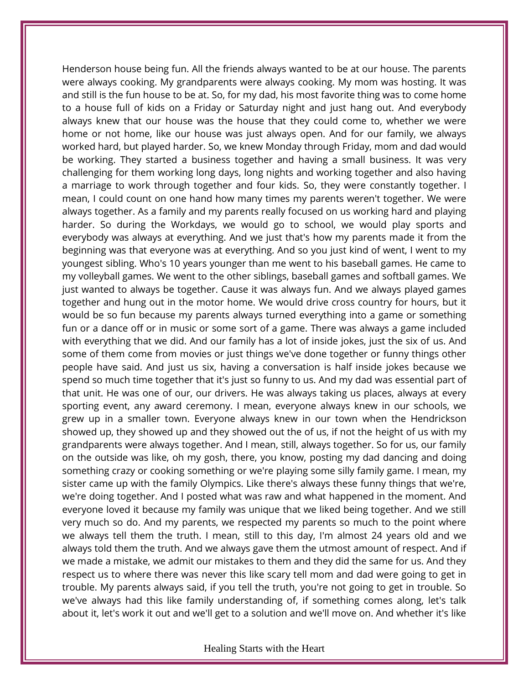Henderson house being fun. All the friends always wanted to be at our house. The parents were always cooking. My grandparents were always cooking. My mom was hosting. It was and still is the fun house to be at. So, for my dad, his most favorite thing was to come home to a house full of kids on a Friday or Saturday night and just hang out. And everybody always knew that our house was the house that they could come to, whether we were home or not home, like our house was just always open. And for our family, we always worked hard, but played harder. So, we knew Monday through Friday, mom and dad would be working. They started a business together and having a small business. It was very challenging for them working long days, long nights and working together and also having a marriage to work through together and four kids. So, they were constantly together. I mean, I could count on one hand how many times my parents weren't together. We were always together. As a family and my parents really focused on us working hard and playing harder. So during the Workdays, we would go to school, we would play sports and everybody was always at everything. And we just that's how my parents made it from the beginning was that everyone was at everything. And so you just kind of went, I went to my youngest sibling. Who's 10 years younger than me went to his baseball games. He came to my volleyball games. We went to the other siblings, baseball games and softball games. We just wanted to always be together. Cause it was always fun. And we always played games together and hung out in the motor home. We would drive cross country for hours, but it would be so fun because my parents always turned everything into a game or something fun or a dance off or in music or some sort of a game. There was always a game included with everything that we did. And our family has a lot of inside jokes, just the six of us. And some of them come from movies or just things we've done together or funny things other people have said. And just us six, having a conversation is half inside jokes because we spend so much time together that it's just so funny to us. And my dad was essential part of that unit. He was one of our, our drivers. He was always taking us places, always at every sporting event, any award ceremony. I mean, everyone always knew in our schools, we grew up in a smaller town. Everyone always knew in our town when the Hendrickson showed up, they showed up and they showed out the of us, if not the height of us with my grandparents were always together. And I mean, still, always together. So for us, our family on the outside was like, oh my gosh, there, you know, posting my dad dancing and doing something crazy or cooking something or we're playing some silly family game. I mean, my sister came up with the family Olympics. Like there's always these funny things that we're, we're doing together. And I posted what was raw and what happened in the moment. And everyone loved it because my family was unique that we liked being together. And we still very much so do. And my parents, we respected my parents so much to the point where we always tell them the truth. I mean, still to this day, I'm almost 24 years old and we always told them the truth. And we always gave them the utmost amount of respect. And if we made a mistake, we admit our mistakes to them and they did the same for us. And they respect us to where there was never this like scary tell mom and dad were going to get in trouble. My parents always said, if you tell the truth, you're not going to get in trouble. So we've always had this like family understanding of, if something comes along, let's talk about it, let's work it out and we'll get to a solution and we'll move on. And whether it's like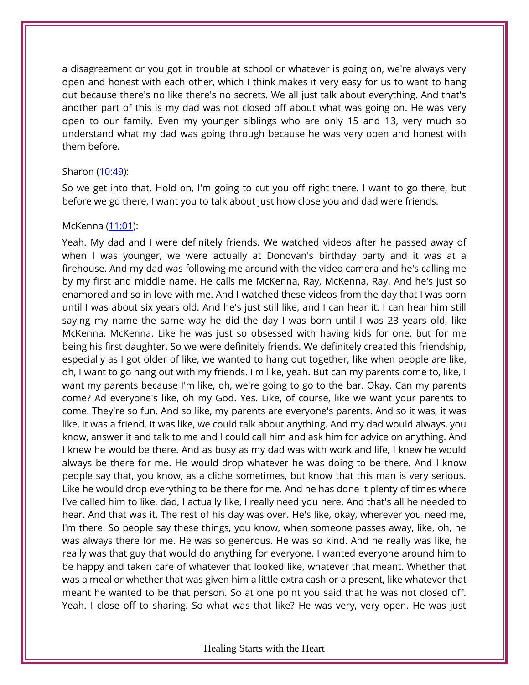a disagreement or you got in trouble at school or whatever is going on, we're always very open and honest with each other, which I think makes it very easy for us to want to hang out because there's no like there's no secrets. We all just talk about everything. And that's another part of this is my dad was not closed off about what was going on. He was very open to our family. Even my younger siblings who are only 15 and 13, very much so understand what my dad was going through because he was very open and honest with them before.

#### Sharon [\(10:49\)](https://www.temi.com/editor/t/BgIppXemWaGmYp8DkFrz2SYpc0OP3hgTmG96sZnWDr8rCP4c5XGyH0j5dT2VSK2rxh2NIQY5INUNa7O4vEVYtC1BSow?loadFrom=DocumentDeeplink&ts=649.13):

So we get into that. Hold on, I'm going to cut you off right there. I want to go there, but before we go there, I want you to talk about just how close you and dad were friends.

### McKenna [\(11:01\)](https://www.temi.com/editor/t/BgIppXemWaGmYp8DkFrz2SYpc0OP3hgTmG96sZnWDr8rCP4c5XGyH0j5dT2VSK2rxh2NIQY5INUNa7O4vEVYtC1BSow?loadFrom=DocumentDeeplink&ts=661.17):

Yeah. My dad and I were definitely friends. We watched videos after he passed away of when I was younger, we were actually at Donovan's birthday party and it was at a firehouse. And my dad was following me around with the video camera and he's calling me by my first and middle name. He calls me McKenna, Ray, McKenna, Ray. And he's just so enamored and so in love with me. And I watched these videos from the day that I was born until I was about six years old. And he's just still like, and I can hear it. I can hear him still saying my name the same way he did the day I was born until I was 23 years old, like McKenna, McKenna. Like he was just so obsessed with having kids for one, but for me being his first daughter. So we were definitely friends. We definitely created this friendship, especially as I got older of like, we wanted to hang out together, like when people are like, oh, I want to go hang out with my friends. I'm like, yeah. But can my parents come to, like, I want my parents because I'm like, oh, we're going to go to the bar. Okay. Can my parents come? Ad everyone's like, oh my God. Yes. Like, of course, like we want your parents to come. They're so fun. And so like, my parents are everyone's parents. And so it was, it was like, it was a friend. It was like, we could talk about anything. And my dad would always, you know, answer it and talk to me and I could call him and ask him for advice on anything. And I knew he would be there. And as busy as my dad was with work and life, I knew he would always be there for me. He would drop whatever he was doing to be there. And I know people say that, you know, as a cliche sometimes, but know that this man is very serious. Like he would drop everything to be there for me. And he has done it plenty of times where I've called him to like, dad, I actually like, I really need you here. And that's all he needed to hear. And that was it. The rest of his day was over. He's like, okay, wherever you need me, I'm there. So people say these things, you know, when someone passes away, like, oh, he was always there for me. He was so generous. He was so kind. And he really was like, he really was that guy that would do anything for everyone. I wanted everyone around him to be happy and taken care of whatever that looked like, whatever that meant. Whether that was a meal or whether that was given him a little extra cash or a present, like whatever that meant he wanted to be that person. So at one point you said that he was not closed off. Yeah. I close off to sharing. So what was that like? He was very, very open. He was just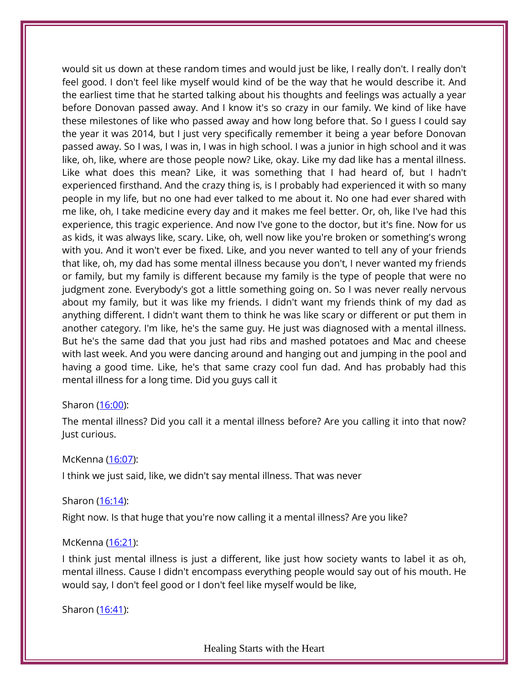would sit us down at these random times and would just be like, I really don't. I really don't feel good. I don't feel like myself would kind of be the way that he would describe it. And the earliest time that he started talking about his thoughts and feelings was actually a year before Donovan passed away. And I know it's so crazy in our family. We kind of like have these milestones of like who passed away and how long before that. So I guess I could say the year it was 2014, but I just very specifically remember it being a year before Donovan passed away. So I was, I was in, I was in high school. I was a junior in high school and it was like, oh, like, where are those people now? Like, okay. Like my dad like has a mental illness. Like what does this mean? Like, it was something that I had heard of, but I hadn't experienced firsthand. And the crazy thing is, is I probably had experienced it with so many people in my life, but no one had ever talked to me about it. No one had ever shared with me like, oh, I take medicine every day and it makes me feel better. Or, oh, like I've had this experience, this tragic experience. And now I've gone to the doctor, but it's fine. Now for us as kids, it was always like, scary. Like, oh, well now like you're broken or something's wrong with you. And it won't ever be fixed. Like, and you never wanted to tell any of your friends that like, oh, my dad has some mental illness because you don't, I never wanted my friends or family, but my family is different because my family is the type of people that were no judgment zone. Everybody's got a little something going on. So I was never really nervous about my family, but it was like my friends. I didn't want my friends think of my dad as anything different. I didn't want them to think he was like scary or different or put them in another category. I'm like, he's the same guy. He just was diagnosed with a mental illness. But he's the same dad that you just had ribs and mashed potatoes and Mac and cheese with last week. And you were dancing around and hanging out and jumping in the pool and having a good time. Like, he's that same crazy cool fun dad. And has probably had this mental illness for a long time. Did you guys call it

# Sharon [\(16:00\)](https://www.temi.com/editor/t/BgIppXemWaGmYp8DkFrz2SYpc0OP3hgTmG96sZnWDr8rCP4c5XGyH0j5dT2VSK2rxh2NIQY5INUNa7O4vEVYtC1BSow?loadFrom=DocumentDeeplink&ts=960.8):

The mental illness? Did you call it a mental illness before? Are you calling it into that now? Just curious.

# McKenna [\(16:07\)](https://www.temi.com/editor/t/BgIppXemWaGmYp8DkFrz2SYpc0OP3hgTmG96sZnWDr8rCP4c5XGyH0j5dT2VSK2rxh2NIQY5INUNa7O4vEVYtC1BSow?loadFrom=DocumentDeeplink&ts=967.45):

I think we just said, like, we didn't say mental illness. That was never

# Sharon [\(16:14\)](https://www.temi.com/editor/t/BgIppXemWaGmYp8DkFrz2SYpc0OP3hgTmG96sZnWDr8rCP4c5XGyH0j5dT2VSK2rxh2NIQY5INUNa7O4vEVYtC1BSow?loadFrom=DocumentDeeplink&ts=974.23):

Right now. Is that huge that you're now calling it a mental illness? Are you like?

# McKenna [\(16:21\)](https://www.temi.com/editor/t/BgIppXemWaGmYp8DkFrz2SYpc0OP3hgTmG96sZnWDr8rCP4c5XGyH0j5dT2VSK2rxh2NIQY5INUNa7O4vEVYtC1BSow?loadFrom=DocumentDeeplink&ts=981.14):

I think just mental illness is just a different, like just how society wants to label it as oh, mental illness. Cause I didn't encompass everything people would say out of his mouth. He would say, I don't feel good or I don't feel like myself would be like,

Sharon [\(16:41\)](https://www.temi.com/editor/t/BgIppXemWaGmYp8DkFrz2SYpc0OP3hgTmG96sZnWDr8rCP4c5XGyH0j5dT2VSK2rxh2NIQY5INUNa7O4vEVYtC1BSow?loadFrom=DocumentDeeplink&ts=1001.78):

Healing Starts with the Heart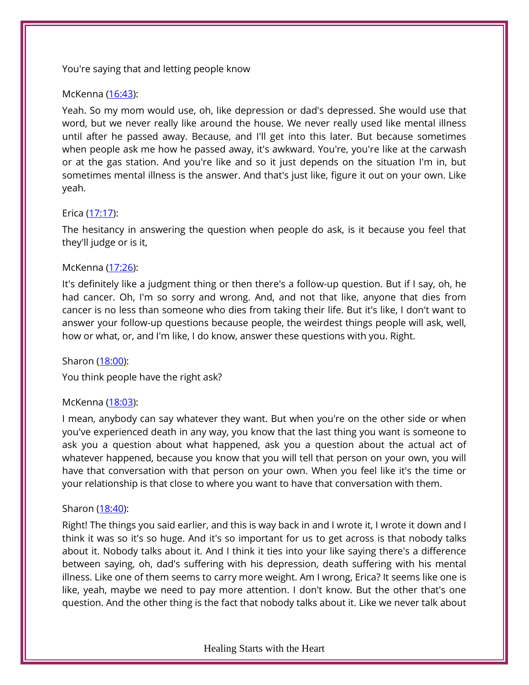# You're saying that and letting people know

## McKenna [\(16:43\)](https://www.temi.com/editor/t/BgIppXemWaGmYp8DkFrz2SYpc0OP3hgTmG96sZnWDr8rCP4c5XGyH0j5dT2VSK2rxh2NIQY5INUNa7O4vEVYtC1BSow?loadFrom=DocumentDeeplink&ts=1003.49):

Yeah. So my mom would use, oh, like depression or dad's depressed. She would use that word, but we never really like around the house. We never really used like mental illness until after he passed away. Because, and I'll get into this later. But because sometimes when people ask me how he passed away, it's awkward. You're, you're like at the carwash or at the gas station. And you're like and so it just depends on the situation I'm in, but sometimes mental illness is the answer. And that's just like, figure it out on your own. Like yeah.

# Erica [\(17:17\)](https://www.temi.com/editor/t/BgIppXemWaGmYp8DkFrz2SYpc0OP3hgTmG96sZnWDr8rCP4c5XGyH0j5dT2VSK2rxh2NIQY5INUNa7O4vEVYtC1BSow?loadFrom=DocumentDeeplink&ts=1037.21):

The hesitancy in answering the question when people do ask, is it because you feel that they'll judge or is it,

## McKenna [\(17:26\)](https://www.temi.com/editor/t/BgIppXemWaGmYp8DkFrz2SYpc0OP3hgTmG96sZnWDr8rCP4c5XGyH0j5dT2VSK2rxh2NIQY5INUNa7O4vEVYtC1BSow?loadFrom=DocumentDeeplink&ts=1046.04):

It's definitely like a judgment thing or then there's a follow-up question. But if I say, oh, he had cancer. Oh, I'm so sorry and wrong. And, and not that like, anyone that dies from cancer is no less than someone who dies from taking their life. But it's like, I don't want to answer your follow-up questions because people, the weirdest things people will ask, well, how or what, or, and I'm like, I do know, answer these questions with you. Right.

### Sharon [\(18:00\)](https://www.temi.com/editor/t/BgIppXemWaGmYp8DkFrz2SYpc0OP3hgTmG96sZnWDr8rCP4c5XGyH0j5dT2VSK2rxh2NIQY5INUNa7O4vEVYtC1BSow?loadFrom=DocumentDeeplink&ts=1080.27):

You think people have the right ask?

# McKenna [\(18:03\)](https://www.temi.com/editor/t/BgIppXemWaGmYp8DkFrz2SYpc0OP3hgTmG96sZnWDr8rCP4c5XGyH0j5dT2VSK2rxh2NIQY5INUNa7O4vEVYtC1BSow?loadFrom=DocumentDeeplink&ts=1083.75):

I mean, anybody can say whatever they want. But when you're on the other side or when you've experienced death in any way, you know that the last thing you want is someone to ask you a question about what happened, ask you a question about the actual act of whatever happened, because you know that you will tell that person on your own, you will have that conversation with that person on your own. When you feel like it's the time or your relationship is that close to where you want to have that conversation with them.

### Sharon [\(18:40\)](https://www.temi.com/editor/t/BgIppXemWaGmYp8DkFrz2SYpc0OP3hgTmG96sZnWDr8rCP4c5XGyH0j5dT2VSK2rxh2NIQY5INUNa7O4vEVYtC1BSow?loadFrom=DocumentDeeplink&ts=1120.56):

Right! The things you said earlier, and this is way back in and I wrote it, I wrote it down and I think it was so it's so huge. And it's so important for us to get across is that nobody talks about it. Nobody talks about it. And I think it ties into your like saying there's a difference between saying, oh, dad's suffering with his depression, death suffering with his mental illness. Like one of them seems to carry more weight. Am I wrong, Erica? It seems like one is like, yeah, maybe we need to pay more attention. I don't know. But the other that's one question. And the other thing is the fact that nobody talks about it. Like we never talk about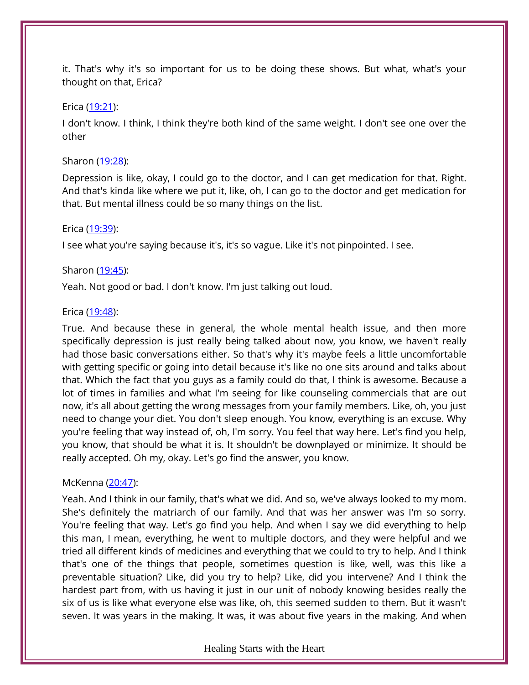it. That's why it's so important for us to be doing these shows. But what, what's your thought on that, Erica?

## Erica [\(19:21\)](https://www.temi.com/editor/t/BgIppXemWaGmYp8DkFrz2SYpc0OP3hgTmG96sZnWDr8rCP4c5XGyH0j5dT2VSK2rxh2NIQY5INUNa7O4vEVYtC1BSow?loadFrom=DocumentDeeplink&ts=1161.74):

I don't know. I think, I think they're both kind of the same weight. I don't see one over the other

# Sharon [\(19:28\)](https://www.temi.com/editor/t/BgIppXemWaGmYp8DkFrz2SYpc0OP3hgTmG96sZnWDr8rCP4c5XGyH0j5dT2VSK2rxh2NIQY5INUNa7O4vEVYtC1BSow?loadFrom=DocumentDeeplink&ts=1168.55):

Depression is like, okay, I could go to the doctor, and I can get medication for that. Right. And that's kinda like where we put it, like, oh, I can go to the doctor and get medication for that. But mental illness could be so many things on the list.

## Erica [\(19:39\)](https://www.temi.com/editor/t/BgIppXemWaGmYp8DkFrz2SYpc0OP3hgTmG96sZnWDr8rCP4c5XGyH0j5dT2VSK2rxh2NIQY5INUNa7O4vEVYtC1BSow?loadFrom=DocumentDeeplink&ts=1179.71):

I see what you're saying because it's, it's so vague. Like it's not pinpointed. I see.

# Sharon [\(19:45\)](https://www.temi.com/editor/t/BgIppXemWaGmYp8DkFrz2SYpc0OP3hgTmG96sZnWDr8rCP4c5XGyH0j5dT2VSK2rxh2NIQY5INUNa7O4vEVYtC1BSow?loadFrom=DocumentDeeplink&ts=1185.59):

Yeah. Not good or bad. I don't know. I'm just talking out loud.

## Erica [\(19:48\)](https://www.temi.com/editor/t/BgIppXemWaGmYp8DkFrz2SYpc0OP3hgTmG96sZnWDr8rCP4c5XGyH0j5dT2VSK2rxh2NIQY5INUNa7O4vEVYtC1BSow?loadFrom=DocumentDeeplink&ts=1188.83):

True. And because these in general, the whole mental health issue, and then more specifically depression is just really being talked about now, you know, we haven't really had those basic conversations either. So that's why it's maybe feels a little uncomfortable with getting specific or going into detail because it's like no one sits around and talks about that. Which the fact that you guys as a family could do that, I think is awesome. Because a lot of times in families and what I'm seeing for like counseling commercials that are out now, it's all about getting the wrong messages from your family members. Like, oh, you just need to change your diet. You don't sleep enough. You know, everything is an excuse. Why you're feeling that way instead of, oh, I'm sorry. You feel that way here. Let's find you help, you know, that should be what it is. It shouldn't be downplayed or minimize. It should be really accepted. Oh my, okay. Let's go find the answer, you know.

# McKenna [\(20:47\)](https://www.temi.com/editor/t/BgIppXemWaGmYp8DkFrz2SYpc0OP3hgTmG96sZnWDr8rCP4c5XGyH0j5dT2VSK2rxh2NIQY5INUNa7O4vEVYtC1BSow?loadFrom=DocumentDeeplink&ts=1247.71):

Yeah. And I think in our family, that's what we did. And so, we've always looked to my mom. She's definitely the matriarch of our family. And that was her answer was I'm so sorry. You're feeling that way. Let's go find you help. And when I say we did everything to help this man, I mean, everything, he went to multiple doctors, and they were helpful and we tried all different kinds of medicines and everything that we could to try to help. And I think that's one of the things that people, sometimes question is like, well, was this like a preventable situation? Like, did you try to help? Like, did you intervene? And I think the hardest part from, with us having it just in our unit of nobody knowing besides really the six of us is like what everyone else was like, oh, this seemed sudden to them. But it wasn't seven. It was years in the making. It was, it was about five years in the making. And when

### Healing Starts with the Heart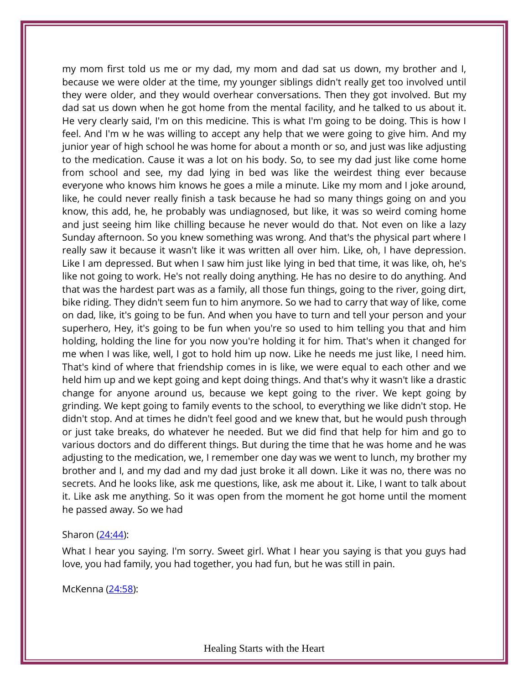my mom first told us me or my dad, my mom and dad sat us down, my brother and I, because we were older at the time, my younger siblings didn't really get too involved until they were older, and they would overhear conversations. Then they got involved. But my dad sat us down when he got home from the mental facility, and he talked to us about it. He very clearly said, I'm on this medicine. This is what I'm going to be doing. This is how I feel. And I'm w he was willing to accept any help that we were going to give him. And my junior year of high school he was home for about a month or so, and just was like adjusting to the medication. Cause it was a lot on his body. So, to see my dad just like come home from school and see, my dad lying in bed was like the weirdest thing ever because everyone who knows him knows he goes a mile a minute. Like my mom and I joke around, like, he could never really finish a task because he had so many things going on and you know, this add, he, he probably was undiagnosed, but like, it was so weird coming home and just seeing him like chilling because he never would do that. Not even on like a lazy Sunday afternoon. So you knew something was wrong. And that's the physical part where I really saw it because it wasn't like it was written all over him. Like, oh, I have depression. Like I am depressed. But when I saw him just like lying in bed that time, it was like, oh, he's like not going to work. He's not really doing anything. He has no desire to do anything. And that was the hardest part was as a family, all those fun things, going to the river, going dirt, bike riding. They didn't seem fun to him anymore. So we had to carry that way of like, come on dad, like, it's going to be fun. And when you have to turn and tell your person and your superhero, Hey, it's going to be fun when you're so used to him telling you that and him holding, holding the line for you now you're holding it for him. That's when it changed for me when I was like, well, I got to hold him up now. Like he needs me just like, I need him. That's kind of where that friendship comes in is like, we were equal to each other and we held him up and we kept going and kept doing things. And that's why it wasn't like a drastic change for anyone around us, because we kept going to the river. We kept going by grinding. We kept going to family events to the school, to everything we like didn't stop. He didn't stop. And at times he didn't feel good and we knew that, but he would push through or just take breaks, do whatever he needed. But we did find that help for him and go to various doctors and do different things. But during the time that he was home and he was adjusting to the medication, we, I remember one day was we went to lunch, my brother my brother and I, and my dad and my dad just broke it all down. Like it was no, there was no secrets. And he looks like, ask me questions, like, ask me about it. Like, I want to talk about it. Like ask me anything. So it was open from the moment he got home until the moment he passed away. So we had

### Sharon [\(24:44\)](https://www.temi.com/editor/t/BgIppXemWaGmYp8DkFrz2SYpc0OP3hgTmG96sZnWDr8rCP4c5XGyH0j5dT2VSK2rxh2NIQY5INUNa7O4vEVYtC1BSow?loadFrom=DocumentDeeplink&ts=1484.33):

What I hear you saying. I'm sorry. Sweet girl. What I hear you saying is that you guys had love, you had family, you had together, you had fun, but he was still in pain.

McKenna [\(24:58\)](https://www.temi.com/editor/t/BgIppXemWaGmYp8DkFrz2SYpc0OP3hgTmG96sZnWDr8rCP4c5XGyH0j5dT2VSK2rxh2NIQY5INUNa7O4vEVYtC1BSow?loadFrom=DocumentDeeplink&ts=1498.15):

Healing Starts with the Heart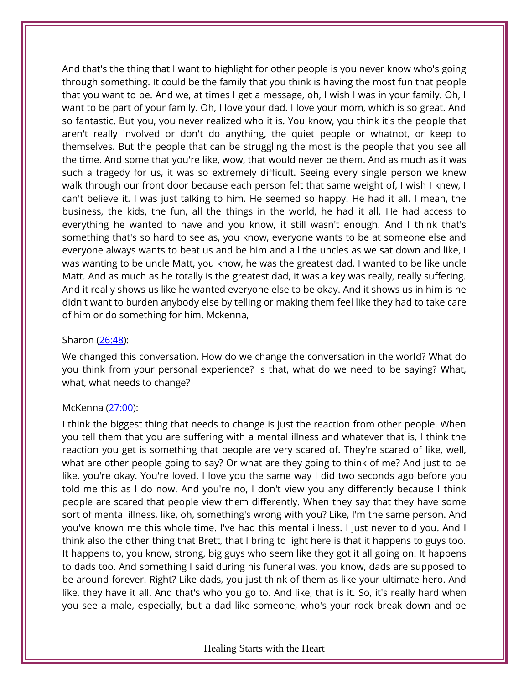And that's the thing that I want to highlight for other people is you never know who's going through something. It could be the family that you think is having the most fun that people that you want to be. And we, at times I get a message, oh, I wish I was in your family. Oh, I want to be part of your family. Oh, I love your dad. I love your mom, which is so great. And so fantastic. But you, you never realized who it is. You know, you think it's the people that aren't really involved or don't do anything, the quiet people or whatnot, or keep to themselves. But the people that can be struggling the most is the people that you see all the time. And some that you're like, wow, that would never be them. And as much as it was such a tragedy for us, it was so extremely difficult. Seeing every single person we knew walk through our front door because each person felt that same weight of, I wish I knew, I can't believe it. I was just talking to him. He seemed so happy. He had it all. I mean, the business, the kids, the fun, all the things in the world, he had it all. He had access to everything he wanted to have and you know, it still wasn't enough. And I think that's something that's so hard to see as, you know, everyone wants to be at someone else and everyone always wants to beat us and be him and all the uncles as we sat down and like, I was wanting to be uncle Matt, you know, he was the greatest dad. I wanted to be like uncle Matt. And as much as he totally is the greatest dad, it was a key was really, really suffering. And it really shows us like he wanted everyone else to be okay. And it shows us in him is he didn't want to burden anybody else by telling or making them feel like they had to take care of him or do something for him. Mckenna,

## Sharon [\(26:48\)](https://www.temi.com/editor/t/BgIppXemWaGmYp8DkFrz2SYpc0OP3hgTmG96sZnWDr8rCP4c5XGyH0j5dT2VSK2rxh2NIQY5INUNa7O4vEVYtC1BSow?loadFrom=DocumentDeeplink&ts=1608.48):

We changed this conversation. How do we change the conversation in the world? What do you think from your personal experience? Is that, what do we need to be saying? What, what, what needs to change?

### McKenna [\(27:00\)](https://www.temi.com/editor/t/BgIppXemWaGmYp8DkFrz2SYpc0OP3hgTmG96sZnWDr8rCP4c5XGyH0j5dT2VSK2rxh2NIQY5INUNa7O4vEVYtC1BSow?loadFrom=DocumentDeeplink&ts=1620.96):

I think the biggest thing that needs to change is just the reaction from other people. When you tell them that you are suffering with a mental illness and whatever that is, I think the reaction you get is something that people are very scared of. They're scared of like, well, what are other people going to say? Or what are they going to think of me? And just to be like, you're okay. You're loved. I love you the same way I did two seconds ago before you told me this as I do now. And you're no, I don't view you any differently because I think people are scared that people view them differently. When they say that they have some sort of mental illness, like, oh, something's wrong with you? Like, I'm the same person. And you've known me this whole time. I've had this mental illness. I just never told you. And I think also the other thing that Brett, that I bring to light here is that it happens to guys too. It happens to, you know, strong, big guys who seem like they got it all going on. It happens to dads too. And something I said during his funeral was, you know, dads are supposed to be around forever. Right? Like dads, you just think of them as like your ultimate hero. And like, they have it all. And that's who you go to. And like, that is it. So, it's really hard when you see a male, especially, but a dad like someone, who's your rock break down and be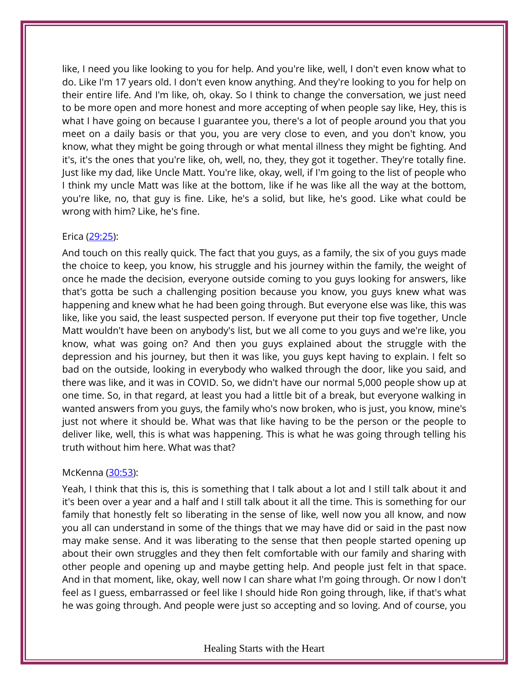like, I need you like looking to you for help. And you're like, well, I don't even know what to do. Like I'm 17 years old. I don't even know anything. And they're looking to you for help on their entire life. And I'm like, oh, okay. So I think to change the conversation, we just need to be more open and more honest and more accepting of when people say like, Hey, this is what I have going on because I guarantee you, there's a lot of people around you that you meet on a daily basis or that you, you are very close to even, and you don't know, you know, what they might be going through or what mental illness they might be fighting. And it's, it's the ones that you're like, oh, well, no, they, they got it together. They're totally fine. Just like my dad, like Uncle Matt. You're like, okay, well, if I'm going to the list of people who I think my uncle Matt was like at the bottom, like if he was like all the way at the bottom, you're like, no, that guy is fine. Like, he's a solid, but like, he's good. Like what could be wrong with him? Like, he's fine.

# Erica [\(29:25\)](https://www.temi.com/editor/t/BgIppXemWaGmYp8DkFrz2SYpc0OP3hgTmG96sZnWDr8rCP4c5XGyH0j5dT2VSK2rxh2NIQY5INUNa7O4vEVYtC1BSow?loadFrom=DocumentDeeplink&ts=1765.2):

And touch on this really quick. The fact that you guys, as a family, the six of you guys made the choice to keep, you know, his struggle and his journey within the family, the weight of once he made the decision, everyone outside coming to you guys looking for answers, like that's gotta be such a challenging position because you know, you guys knew what was happening and knew what he had been going through. But everyone else was like, this was like, like you said, the least suspected person. If everyone put their top five together, Uncle Matt wouldn't have been on anybody's list, but we all come to you guys and we're like, you know, what was going on? And then you guys explained about the struggle with the depression and his journey, but then it was like, you guys kept having to explain. I felt so bad on the outside, looking in everybody who walked through the door, like you said, and there was like, and it was in COVID. So, we didn't have our normal 5,000 people show up at one time. So, in that regard, at least you had a little bit of a break, but everyone walking in wanted answers from you guys, the family who's now broken, who is just, you know, mine's just not where it should be. What was that like having to be the person or the people to deliver like, well, this is what was happening. This is what he was going through telling his truth without him here. What was that?

# McKenna [\(30:53\)](https://www.temi.com/editor/t/BgIppXemWaGmYp8DkFrz2SYpc0OP3hgTmG96sZnWDr8rCP4c5XGyH0j5dT2VSK2rxh2NIQY5INUNa7O4vEVYtC1BSow?loadFrom=DocumentDeeplink&ts=1853.2):

Yeah, I think that this is, this is something that I talk about a lot and I still talk about it and it's been over a year and a half and I still talk about it all the time. This is something for our family that honestly felt so liberating in the sense of like, well now you all know, and now you all can understand in some of the things that we may have did or said in the past now may make sense. And it was liberating to the sense that then people started opening up about their own struggles and they then felt comfortable with our family and sharing with other people and opening up and maybe getting help. And people just felt in that space. And in that moment, like, okay, well now I can share what I'm going through. Or now I don't feel as I guess, embarrassed or feel like I should hide Ron going through, like, if that's what he was going through. And people were just so accepting and so loving. And of course, you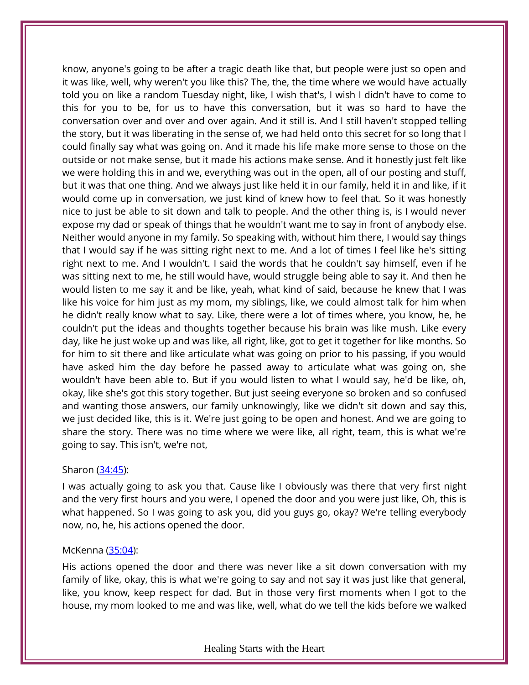know, anyone's going to be after a tragic death like that, but people were just so open and it was like, well, why weren't you like this? The, the, the time where we would have actually told you on like a random Tuesday night, like, I wish that's, I wish I didn't have to come to this for you to be, for us to have this conversation, but it was so hard to have the conversation over and over and over again. And it still is. And I still haven't stopped telling the story, but it was liberating in the sense of, we had held onto this secret for so long that I could finally say what was going on. And it made his life make more sense to those on the outside or not make sense, but it made his actions make sense. And it honestly just felt like we were holding this in and we, everything was out in the open, all of our posting and stuff, but it was that one thing. And we always just like held it in our family, held it in and like, if it would come up in conversation, we just kind of knew how to feel that. So it was honestly nice to just be able to sit down and talk to people. And the other thing is, is I would never expose my dad or speak of things that he wouldn't want me to say in front of anybody else. Neither would anyone in my family. So speaking with, without him there, I would say things that I would say if he was sitting right next to me. And a lot of times I feel like he's sitting right next to me. And I wouldn't. I said the words that he couldn't say himself, even if he was sitting next to me, he still would have, would struggle being able to say it. And then he would listen to me say it and be like, yeah, what kind of said, because he knew that I was like his voice for him just as my mom, my siblings, like, we could almost talk for him when he didn't really know what to say. Like, there were a lot of times where, you know, he, he couldn't put the ideas and thoughts together because his brain was like mush. Like every day, like he just woke up and was like, all right, like, got to get it together for like months. So for him to sit there and like articulate what was going on prior to his passing, if you would have asked him the day before he passed away to articulate what was going on, she wouldn't have been able to. But if you would listen to what I would say, he'd be like, oh, okay, like she's got this story together. But just seeing everyone so broken and so confused and wanting those answers, our family unknowingly, like we didn't sit down and say this, we just decided like, this is it. We're just going to be open and honest. And we are going to share the story. There was no time where we were like, all right, team, this is what we're going to say. This isn't, we're not,

# Sharon [\(34:45\)](https://www.temi.com/editor/t/BgIppXemWaGmYp8DkFrz2SYpc0OP3hgTmG96sZnWDr8rCP4c5XGyH0j5dT2VSK2rxh2NIQY5INUNa7O4vEVYtC1BSow?loadFrom=DocumentDeeplink&ts=2085.01):

I was actually going to ask you that. Cause like I obviously was there that very first night and the very first hours and you were, I opened the door and you were just like, Oh, this is what happened. So I was going to ask you, did you guys go, okay? We're telling everybody now, no, he, his actions opened the door.

# McKenna [\(35:04\)](https://www.temi.com/editor/t/BgIppXemWaGmYp8DkFrz2SYpc0OP3hgTmG96sZnWDr8rCP4c5XGyH0j5dT2VSK2rxh2NIQY5INUNa7O4vEVYtC1BSow?loadFrom=DocumentDeeplink&ts=2104.48):

His actions opened the door and there was never like a sit down conversation with my family of like, okay, this is what we're going to say and not say it was just like that general, like, you know, keep respect for dad. But in those very first moments when I got to the house, my mom looked to me and was like, well, what do we tell the kids before we walked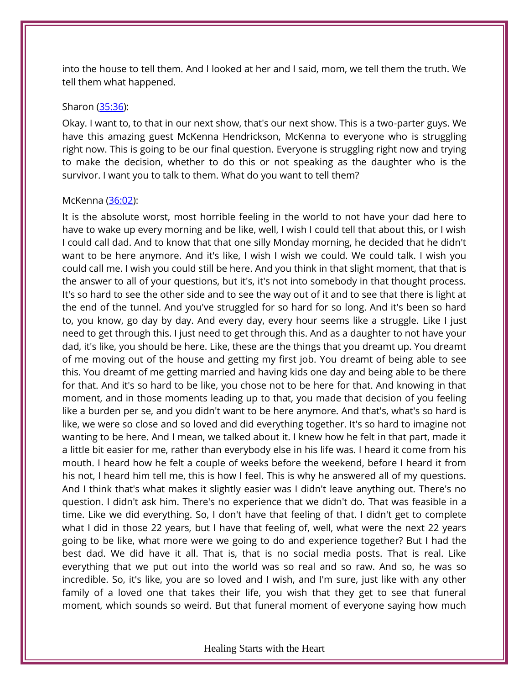into the house to tell them. And I looked at her and I said, mom, we tell them the truth. We tell them what happened.

#### Sharon [\(35:36\)](https://www.temi.com/editor/t/BgIppXemWaGmYp8DkFrz2SYpc0OP3hgTmG96sZnWDr8rCP4c5XGyH0j5dT2VSK2rxh2NIQY5INUNa7O4vEVYtC1BSow?loadFrom=DocumentDeeplink&ts=2136.19):

Okay. I want to, to that in our next show, that's our next show. This is a two-parter guys. We have this amazing guest McKenna Hendrickson, McKenna to everyone who is struggling right now. This is going to be our final question. Everyone is struggling right now and trying to make the decision, whether to do this or not speaking as the daughter who is the survivor. I want you to talk to them. What do you want to tell them?

### McKenna [\(36:02\)](https://www.temi.com/editor/t/BgIppXemWaGmYp8DkFrz2SYpc0OP3hgTmG96sZnWDr8rCP4c5XGyH0j5dT2VSK2rxh2NIQY5INUNa7O4vEVYtC1BSow?loadFrom=DocumentDeeplink&ts=2162.41):

It is the absolute worst, most horrible feeling in the world to not have your dad here to have to wake up every morning and be like, well, I wish I could tell that about this, or I wish I could call dad. And to know that that one silly Monday morning, he decided that he didn't want to be here anymore. And it's like, I wish I wish we could. We could talk. I wish you could call me. I wish you could still be here. And you think in that slight moment, that that is the answer to all of your questions, but it's, it's not into somebody in that thought process. It's so hard to see the other side and to see the way out of it and to see that there is light at the end of the tunnel. And you've struggled for so hard for so long. And it's been so hard to, you know, go day by day. And every day, every hour seems like a struggle. Like I just need to get through this. I just need to get through this. And as a daughter to not have your dad, it's like, you should be here. Like, these are the things that you dreamt up. You dreamt of me moving out of the house and getting my first job. You dreamt of being able to see this. You dreamt of me getting married and having kids one day and being able to be there for that. And it's so hard to be like, you chose not to be here for that. And knowing in that moment, and in those moments leading up to that, you made that decision of you feeling like a burden per se, and you didn't want to be here anymore. And that's, what's so hard is like, we were so close and so loved and did everything together. It's so hard to imagine not wanting to be here. And I mean, we talked about it. I knew how he felt in that part, made it a little bit easier for me, rather than everybody else in his life was. I heard it come from his mouth. I heard how he felt a couple of weeks before the weekend, before I heard it from his not, I heard him tell me, this is how I feel. This is why he answered all of my questions. And I think that's what makes it slightly easier was I didn't leave anything out. There's no question. I didn't ask him. There's no experience that we didn't do. That was feasible in a time. Like we did everything. So, I don't have that feeling of that. I didn't get to complete what I did in those 22 years, but I have that feeling of, well, what were the next 22 years going to be like, what more were we going to do and experience together? But I had the best dad. We did have it all. That is, that is no social media posts. That is real. Like everything that we put out into the world was so real and so raw. And so, he was so incredible. So, it's like, you are so loved and I wish, and I'm sure, just like with any other family of a loved one that takes their life, you wish that they get to see that funeral moment, which sounds so weird. But that funeral moment of everyone saying how much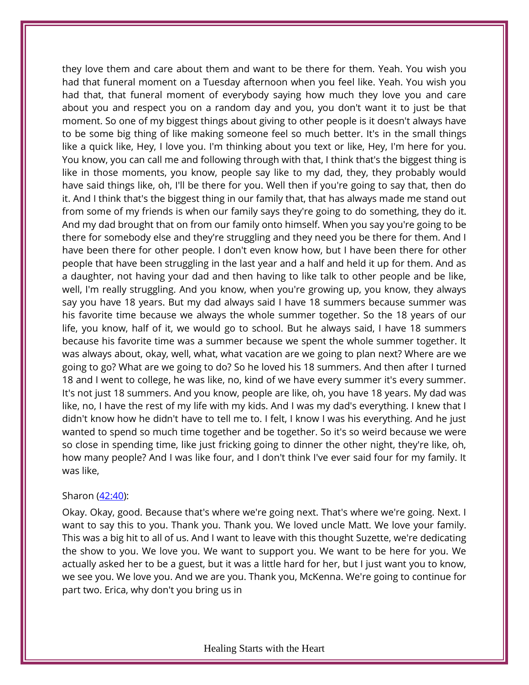they love them and care about them and want to be there for them. Yeah. You wish you had that funeral moment on a Tuesday afternoon when you feel like. Yeah. You wish you had that, that funeral moment of everybody saying how much they love you and care about you and respect you on a random day and you, you don't want it to just be that moment. So one of my biggest things about giving to other people is it doesn't always have to be some big thing of like making someone feel so much better. It's in the small things like a quick like, Hey, I love you. I'm thinking about you text or like, Hey, I'm here for you. You know, you can call me and following through with that, I think that's the biggest thing is like in those moments, you know, people say like to my dad, they, they probably would have said things like, oh, I'll be there for you. Well then if you're going to say that, then do it. And I think that's the biggest thing in our family that, that has always made me stand out from some of my friends is when our family says they're going to do something, they do it. And my dad brought that on from our family onto himself. When you say you're going to be there for somebody else and they're struggling and they need you be there for them. And I have been there for other people. I don't even know how, but I have been there for other people that have been struggling in the last year and a half and held it up for them. And as a daughter, not having your dad and then having to like talk to other people and be like, well, I'm really struggling. And you know, when you're growing up, you know, they always say you have 18 years. But my dad always said I have 18 summers because summer was his favorite time because we always the whole summer together. So the 18 years of our life, you know, half of it, we would go to school. But he always said, I have 18 summers because his favorite time was a summer because we spent the whole summer together. It was always about, okay, well, what, what vacation are we going to plan next? Where are we going to go? What are we going to do? So he loved his 18 summers. And then after I turned 18 and I went to college, he was like, no, kind of we have every summer it's every summer. It's not just 18 summers. And you know, people are like, oh, you have 18 years. My dad was like, no, I have the rest of my life with my kids. And I was my dad's everything. I knew that I didn't know how he didn't have to tell me to. I felt, I know I was his everything. And he just wanted to spend so much time together and be together. So it's so weird because we were so close in spending time, like just fricking going to dinner the other night, they're like, oh, how many people? And I was like four, and I don't think I've ever said four for my family. It was like,

# Sharon [\(42:40\)](https://www.temi.com/editor/t/BgIppXemWaGmYp8DkFrz2SYpc0OP3hgTmG96sZnWDr8rCP4c5XGyH0j5dT2VSK2rxh2NIQY5INUNa7O4vEVYtC1BSow?loadFrom=DocumentDeeplink&ts=2560.9):

Okay. Okay, good. Because that's where we're going next. That's where we're going. Next. I want to say this to you. Thank you. Thank you. We loved uncle Matt. We love your family. This was a big hit to all of us. And I want to leave with this thought Suzette, we're dedicating the show to you. We love you. We want to support you. We want to be here for you. We actually asked her to be a guest, but it was a little hard for her, but I just want you to know, we see you. We love you. And we are you. Thank you, McKenna. We're going to continue for part two. Erica, why don't you bring us in